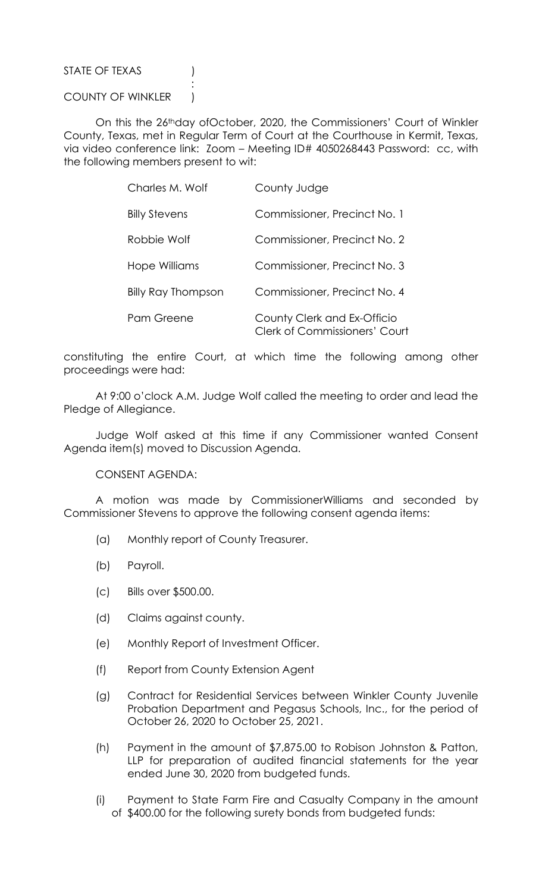## STATE OF TEXAS (1)

## COUNTY OF WINKLER )

**Service State State State State** 

 On this the 26thday ofOctober, 2020, the Commissioners' Court of Winkler County, Texas, met in Regular Term of Court at the Courthouse in Kermit, Texas, via video conference link: Zoom – Meeting ID# 4050268443 Password: cc, with the following members present to wit:

| Charles M. Wolf           | County Judge                                                        |
|---------------------------|---------------------------------------------------------------------|
| <b>Billy Stevens</b>      | Commissioner, Precinct No. 1                                        |
| Robbie Wolf               | Commissioner, Precinct No. 2                                        |
| Hope Williams             | Commissioner, Precinct No. 3                                        |
| <b>Billy Ray Thompson</b> | Commissioner, Precinct No. 4                                        |
| Pam Greene                | County Clerk and Ex-Officio<br><b>Clerk of Commissioners' Court</b> |

constituting the entire Court, at which time the following among other proceedings were had:

 At 9:00 o'clock A.M. Judge Wolf called the meeting to order and lead the Pledge of Allegiance.

 Judge Wolf asked at this time if any Commissioner wanted Consent Agenda item(s) moved to Discussion Agenda.

CONSENT AGENDA:

 A motion was made by CommissionerWilliams and seconded by Commissioner Stevens to approve the following consent agenda items:

- (a) Monthly report of County Treasurer.
- (b) Payroll.
- (c) Bills over \$500.00.
- (d) Claims against county.
- (e) Monthly Report of Investment Officer.
- (f) Report from County Extension Agent
- (g) Contract for Residential Services between Winkler County Juvenile Probation Department and Pegasus Schools, Inc., for the period of October 26, 2020 to October 25, 2021.
- (h) Payment in the amount of \$7,875.00 to Robison Johnston & Patton, LLP for preparation of audited financial statements for the year ended June 30, 2020 from budgeted funds.
- (i) Payment to State Farm Fire and Casualty Company in the amount of \$400.00 for the following surety bonds from budgeted funds: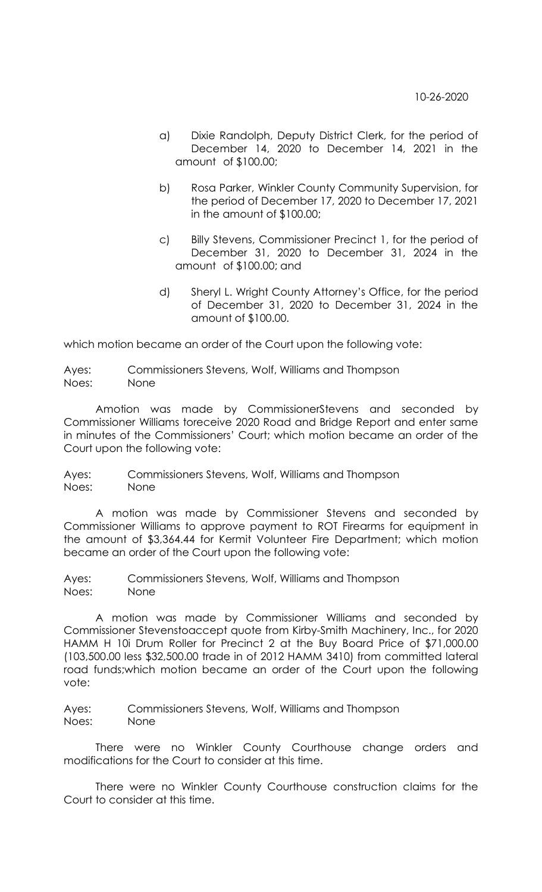- a) Dixie Randolph, Deputy District Clerk, for the period of December 14, 2020 to December 14, 2021 in the amount of \$100.00;
- b) Rosa Parker, Winkler County Community Supervision, for the period of December 17, 2020 to December 17, 2021 in the amount of \$100.00;
- c) Billy Stevens, Commissioner Precinct 1, for the period of December 31, 2020 to December 31, 2024 in the amount of \$100.00; and
- d) Sheryl L. Wright County Attorney's Office, for the period of December 31, 2020 to December 31, 2024 in the amount of \$100.00.

which motion became an order of the Court upon the following vote:

Ayes: Commissioners Stevens, Wolf, Williams and Thompson Noes: None

 Amotion was made by CommissionerStevens and seconded by Commissioner Williams toreceive 2020 Road and Bridge Report and enter same in minutes of the Commissioners' Court; which motion became an order of the Court upon the following vote:

Ayes: Commissioners Stevens, Wolf, Williams and Thompson Noes: None

 A motion was made by Commissioner Stevens and seconded by Commissioner Williams to approve payment to ROT Firearms for equipment in the amount of \$3,364.44 for Kermit Volunteer Fire Department; which motion became an order of the Court upon the following vote:

Ayes: Commissioners Stevens, Wolf, Williams and Thompson Noes: None

 A motion was made by Commissioner Williams and seconded by Commissioner Stevenstoaccept quote from Kirby-Smith Machinery, Inc., for 2020 HAMM H 10i Drum Roller for Precinct 2 at the Buy Board Price of \$71,000.00 (103,500.00 less \$32,500.00 trade in of 2012 HAMM 3410) from committed lateral road funds;which motion became an order of the Court upon the following vote:

Ayes: Commissioners Stevens, Wolf, Williams and Thompson Noes: None

 There were no Winkler County Courthouse change orders and modifications for the Court to consider at this time.

 There were no Winkler County Courthouse construction claims for the Court to consider at this time.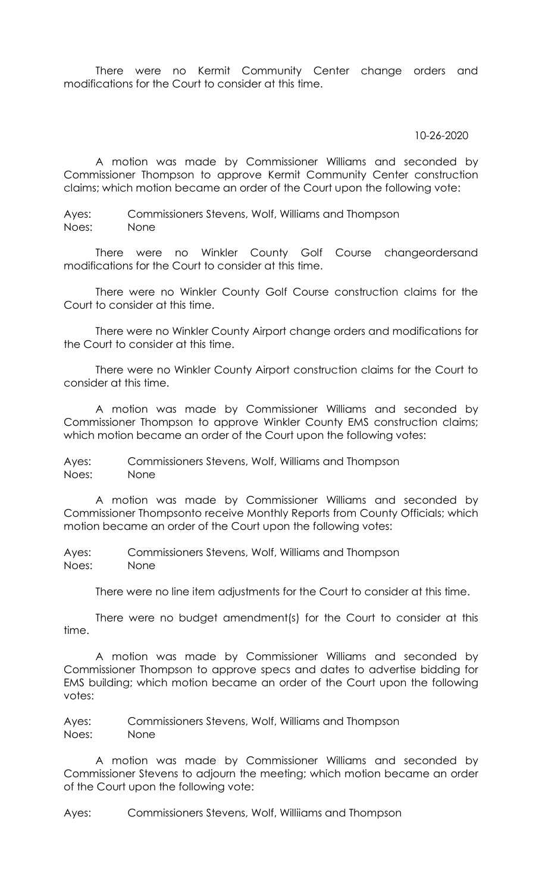There were no Kermit Community Center change orders and modifications for the Court to consider at this time.

## 10-26-2020

 A motion was made by Commissioner Williams and seconded by Commissioner Thompson to approve Kermit Community Center construction claims; which motion became an order of the Court upon the following vote:

Ayes: Commissioners Stevens, Wolf, Williams and Thompson Noes: None

 There were no Winkler County Golf Course changeordersand modifications for the Court to consider at this time.

 There were no Winkler County Golf Course construction claims for the Court to consider at this time.

 There were no Winkler County Airport change orders and modifications for the Court to consider at this time.

 There were no Winkler County Airport construction claims for the Court to consider at this time.

 A motion was made by Commissioner Williams and seconded by Commissioner Thompson to approve Winkler County EMS construction claims; which motion became an order of the Court upon the following votes:

Ayes: Commissioners Stevens, Wolf, Williams and Thompson Noes: None

 A motion was made by Commissioner Williams and seconded by Commissioner Thompsonto receive Monthly Reports from County Officials; which motion became an order of the Court upon the following votes:

Ayes: Commissioners Stevens, Wolf, Williams and Thompson Noes: None

There were no line item adjustments for the Court to consider at this time.

 There were no budget amendment(s) for the Court to consider at this time.

 A motion was made by Commissioner Williams and seconded by Commissioner Thompson to approve specs and dates to advertise bidding for EMS building; which motion became an order of the Court upon the following votes:

Ayes: Commissioners Stevens, Wolf, Williams and Thompson Noes: None

 A motion was made by Commissioner Williams and seconded by Commissioner Stevens to adjourn the meeting; which motion became an order of the Court upon the following vote:

Ayes: Commissioners Stevens, Wolf, Williiams and Thompson